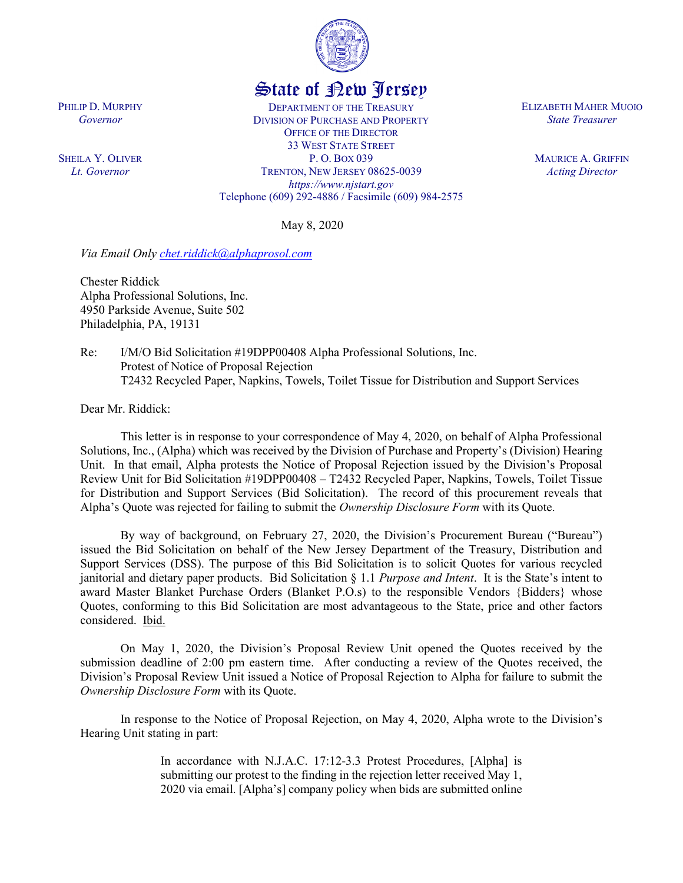

## State of New Jersey

DEPARTMENT OF THE TREASURY DIVISION OF PURCHASE AND PROPERTY OFFICE OF THE DIRECTOR 33 WEST STATE STREET P. O. BOX 039 TRENTON, NEW JERSEY 08625-0039 *https://www.njstart.gov* Telephone (609) 292-4886 / Facsimile (609) 984-2575

May 8, 2020

*Via Email Only [chet.riddick@alphaprosol.com](mailto:chet.riddick@alphaprosol.com)*

Chester Riddick Alpha Professional Solutions, Inc. 4950 Parkside Avenue, Suite 502 Philadelphia, PA, 19131

Re: I/M/O Bid Solicitation #19DPP00408 Alpha Professional Solutions, Inc. Protest of Notice of Proposal Rejection T2432 Recycled Paper, Napkins, Towels, Toilet Tissue for Distribution and Support Services

Dear Mr. Riddick:

PHILIP D. MURPHY *Governor*

SHEILA Y. OLIVER *Lt. Governor*

> This letter is in response to your correspondence of May 4, 2020, on behalf of Alpha Professional Solutions, Inc., (Alpha) which was received by the Division of Purchase and Property's (Division) Hearing Unit. In that email, Alpha protests the Notice of Proposal Rejection issued by the Division's Proposal Review Unit for Bid Solicitation #19DPP00408 – T2432 Recycled Paper, Napkins, Towels, Toilet Tissue for Distribution and Support Services (Bid Solicitation). The record of this procurement reveals that Alpha's Quote was rejected for failing to submit the *Ownership Disclosure Form* with its Quote.

> By way of background, on February 27, 2020, the Division's Procurement Bureau ("Bureau") issued the Bid Solicitation on behalf of the New Jersey Department of the Treasury, Distribution and Support Services (DSS). The purpose of this Bid Solicitation is to solicit Quotes for various recycled janitorial and dietary paper products. Bid Solicitation § 1.1 *Purpose and Intent*. It is the State's intent to award Master Blanket Purchase Orders (Blanket P.O.s) to the responsible Vendors {Bidders} whose Quotes, conforming to this Bid Solicitation are most advantageous to the State, price and other factors considered. Ibid.

> On May 1, 2020, the Division's Proposal Review Unit opened the Quotes received by the submission deadline of 2:00 pm eastern time. After conducting a review of the Quotes received, the Division's Proposal Review Unit issued a Notice of Proposal Rejection to Alpha for failure to submit the *Ownership Disclosure Form* with its Quote.

> In response to the Notice of Proposal Rejection, on May 4, 2020, Alpha wrote to the Division's Hearing Unit stating in part:

> > In accordance with N.J.A.C. 17:12-3.3 Protest Procedures, [Alpha] is submitting our protest to the finding in the rejection letter received May 1, 2020 via email. [Alpha's] company policy when bids are submitted online

ELIZABETH MAHER MUOIO *State Treasurer*

> MAURICE A. GRIFFIN *Acting Director*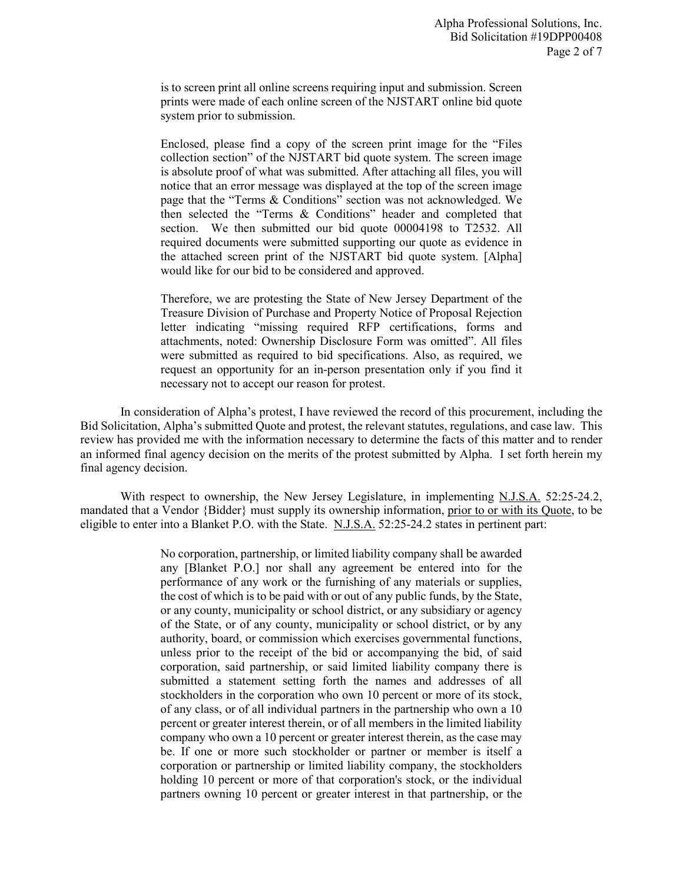is to screen print all online screens requiring input and submission. Screen prints were made of each online screen of the NJSTART online bid quote system prior to submission.

Enclosed, please find a copy of the screen print image for the "Files collection section" of the NJSTART bid quote system. The screen image is absolute proof of what was submitted. After attaching all files, you will notice that an error message was displayed at the top of the screen image page that the "Terms & Conditions" section was not acknowledged. We then selected the "Terms & Conditions" header and completed that section. We then submitted our bid quote 00004198 to T2532. All required documents were submitted supporting our quote as evidence in the attached screen print of the NJSTART bid quote system. [Alpha] would like for our bid to be considered and approved.

Therefore, we are protesting the State of New Jersey Department of the Treasure Division of Purchase and Property Notice of Proposal Rejection letter indicating "missing required RFP certifications, forms and attachments, noted: Ownership Disclosure Form was omitted". All files were submitted as required to bid specifications. Also, as required, we request an opportunity for an in-person presentation only if you find it necessary not to accept our reason for protest.

In consideration of Alpha's protest, I have reviewed the record of this procurement, including the Bid Solicitation, Alpha's submitted Quote and protest, the relevant statutes, regulations, and case law. This review has provided me with the information necessary to determine the facts of this matter and to render an informed final agency decision on the merits of the protest submitted by Alpha. I set forth herein my final agency decision.

With respect to ownership, the New Jersey Legislature, in implementing N.J.S.A. 52:25-24.2, mandated that a Vendor {Bidder} must supply its ownership information, prior to or with its Quote, to be eligible to enter into a Blanket P.O. with the State. N.J.S.A. 52:25-24.2 states in pertinent part:

> No corporation, partnership, or limited liability company shall be awarded any [Blanket P.O.] nor shall any agreement be entered into for the performance of any work or the furnishing of any materials or supplies, the cost of which is to be paid with or out of any public funds, by the State, or any county, municipality or school district, or any subsidiary or agency of the State, or of any county, municipality or school district, or by any authority, board, or commission which exercises governmental functions, unless prior to the receipt of the bid or accompanying the bid, of said corporation, said partnership, or said limited liability company there is submitted a statement setting forth the names and addresses of all stockholders in the corporation who own 10 percent or more of its stock, of any class, or of all individual partners in the partnership who own a 10 percent or greater interest therein, or of all members in the limited liability company who own a 10 percent or greater interest therein, as the case may be. If one or more such stockholder or partner or member is itself a corporation or partnership or limited liability company, the stockholders holding 10 percent or more of that corporation's stock, or the individual partners owning 10 percent or greater interest in that partnership, or the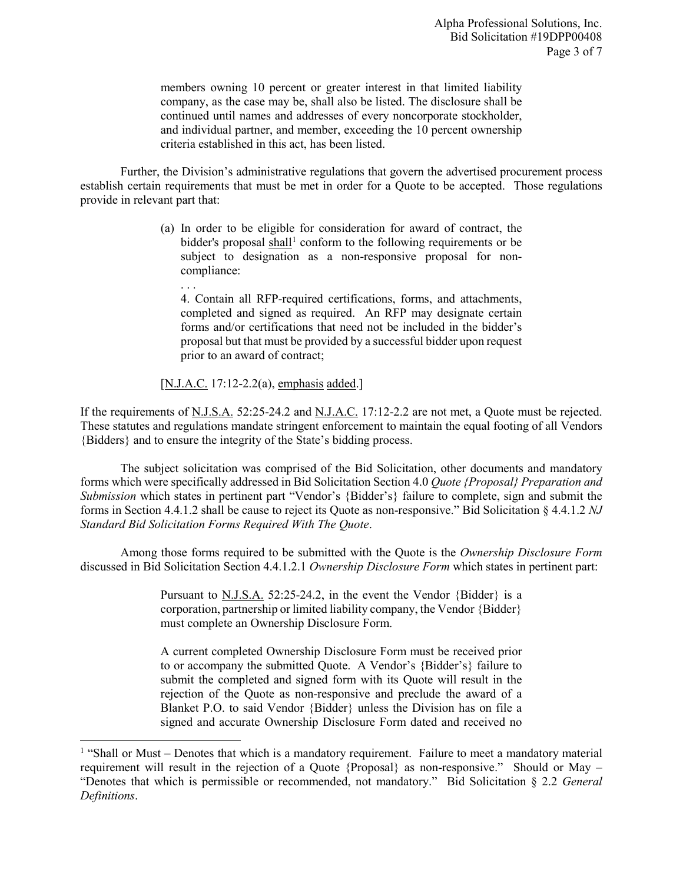members owning 10 percent or greater interest in that limited liability company, as the case may be, shall also be listed. The disclosure shall be continued until names and addresses of every noncorporate stockholder, and individual partner, and member, exceeding the 10 percent ownership criteria established in this act, has been listed.

Further, the Division's administrative regulations that govern the advertised procurement process establish certain requirements that must be met in order for a Quote to be accepted. Those regulations provide in relevant part that:

> (a) In order to be eligible for consideration for award of contract, the bidder's proposal shall<sup>[1](#page-2-0)</sup> conform to the following requirements or be subject to designation as a non-responsive proposal for noncompliance:

4. Contain all RFP-required certifications, forms, and attachments, completed and signed as required. An RFP may designate certain forms and/or certifications that need not be included in the bidder's proposal but that must be provided by a successful bidder upon request prior to an award of contract;

## [N.J.A.C. 17:12-2.2(a), emphasis added.]

. . .

 $\overline{a}$ 

If the requirements of N.J.S.A. 52:25-24.2 and N.J.A.C. 17:12-2.2 are not met, a Quote must be rejected. These statutes and regulations mandate stringent enforcement to maintain the equal footing of all Vendors {Bidders} and to ensure the integrity of the State's bidding process.

The subject solicitation was comprised of the Bid Solicitation, other documents and mandatory forms which were specifically addressed in Bid Solicitation Section 4.0 *Quote {Proposal} Preparation and Submission* which states in pertinent part "Vendor's {Bidder's} failure to complete, sign and submit the forms in Section 4.4.1.2 shall be cause to reject its Quote as non-responsive." Bid Solicitation § 4.4.1.2 *NJ Standard Bid Solicitation Forms Required With The Quote*.

Among those forms required to be submitted with the Quote is the *Ownership Disclosure Form* discussed in Bid Solicitation Section 4.4.1.2.1 *Ownership Disclosure Form* which states in pertinent part:

> Pursuant to N.J.S.A. 52:25-24.2, in the event the Vendor {Bidder} is a corporation, partnership or limited liability company, the Vendor {Bidder} must complete an Ownership Disclosure Form.

> A current completed Ownership Disclosure Form must be received prior to or accompany the submitted Quote. A Vendor's {Bidder's} failure to submit the completed and signed form with its Quote will result in the rejection of the Quote as non-responsive and preclude the award of a Blanket P.O. to said Vendor {Bidder} unless the Division has on file a signed and accurate Ownership Disclosure Form dated and received no

<span id="page-2-0"></span> $<sup>1</sup>$  "Shall or Must – Denotes that which is a mandatory requirement. Failure to meet a mandatory material</sup> requirement will result in the rejection of a Quote {Proposal} as non-responsive." Should or May – "Denotes that which is permissible or recommended, not mandatory." Bid Solicitation § 2.2 *General Definitions*.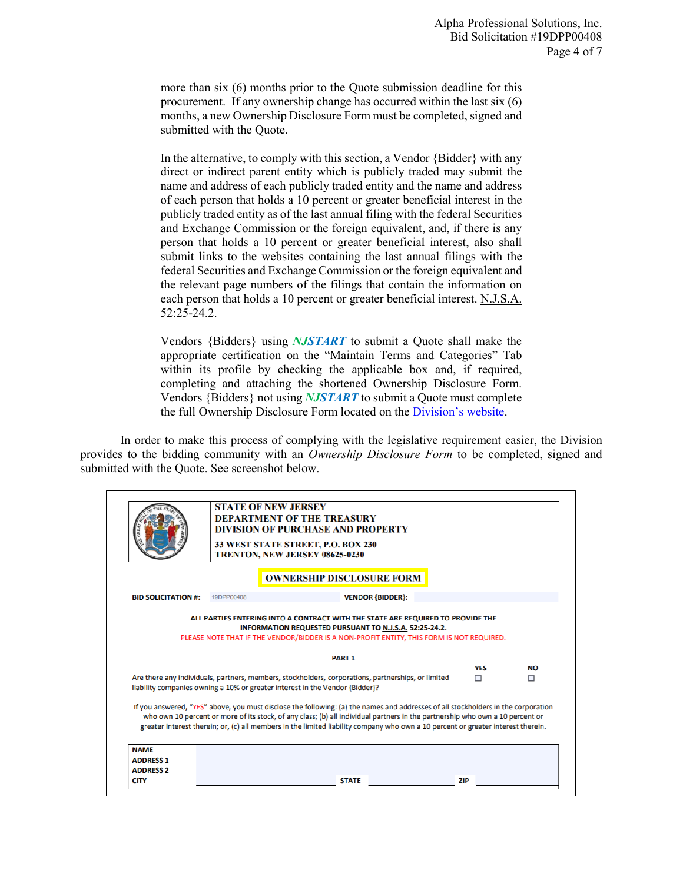more than six (6) months prior to the Quote submission deadline for this procurement. If any ownership change has occurred within the last six (6) months, a new Ownership Disclosure Form must be completed, signed and submitted with the Quote.

In the alternative, to comply with this section, a Vendor {Bidder} with any direct or indirect parent entity which is publicly traded may submit the name and address of each publicly traded entity and the name and address of each person that holds a 10 percent or greater beneficial interest in the publicly traded entity as of the last annual filing with the federal Securities and Exchange Commission or the foreign equivalent, and, if there is any person that holds a 10 percent or greater beneficial interest, also shall submit links to the websites containing the last annual filings with the federal Securities and Exchange Commission or the foreign equivalent and the relevant page numbers of the filings that contain the information on each person that holds a 10 percent or greater beneficial interest. N.J.S.A. 52:25-24.2.

Vendors {Bidders} using *NJSTART* to submit a Quote shall make the appropriate certification on the "Maintain Terms and Categories" Tab within its profile by checking the applicable box and, if required, completing and attaching the shortened Ownership Disclosure Form. Vendors {Bidders} not using *NJSTART* to submit a Quote must complete the full Ownership Disclosure Form located on the [Division's website.](https://www.state.nj.us/treasury/purchase/forms.shtml)

In order to make this process of complying with the legislative requirement easier, the Division provides to the bidding community with an *Ownership Disclosure Form* to be completed, signed and submitted with the Quote. See screenshot below.

|                                                     |            | <b>STATE OF NEW JERSEY</b><br><b>DEPARTMENT OF THE TREASURY</b><br><b>DIVISION OF PURCHASE AND PROPERTY</b><br>33 WEST STATE STREET, P.O. BOX 230<br><b>TRENTON, NEW JERSEY 08625-0230</b>                                                                                                                                                                                                             |          |                |
|-----------------------------------------------------|------------|--------------------------------------------------------------------------------------------------------------------------------------------------------------------------------------------------------------------------------------------------------------------------------------------------------------------------------------------------------------------------------------------------------|----------|----------------|
|                                                     |            | <b>OWNERSHIP DISCLOSURE FORM</b>                                                                                                                                                                                                                                                                                                                                                                       |          |                |
| <b>BID SOLICITATION #:</b>                          | 19DPP00408 | <b>VENDOR {BIDDER}:</b>                                                                                                                                                                                                                                                                                                                                                                                |          |                |
|                                                     |            | PLEASE NOTE THAT IF THE VENDOR/BIDDER IS A NON-PROFIT ENTITY, THIS FORM IS NOT REQUIRED.                                                                                                                                                                                                                                                                                                               |          |                |
|                                                     |            | <b>PART 1</b>                                                                                                                                                                                                                                                                                                                                                                                          |          |                |
|                                                     |            | Are there any individuals, partners, members, stockholders, corporations, partnerships, or limited<br>liability companies owning a 10% or greater interest in the Vendor {Bidder}?                                                                                                                                                                                                                     | YES<br>п | <b>NO</b><br>п |
|                                                     |            | If you answered, "YES" above, you must disclose the following: (a) the names and addresses of all stockholders in the corporation<br>who own 10 percent or more of its stock, of any class; (b) all individual partners in the partnership who own a 10 percent or<br>greater interest therein; or, (c) all members in the limited liability company who own a 10 percent or greater interest therein. |          |                |
|                                                     |            |                                                                                                                                                                                                                                                                                                                                                                                                        |          |                |
| <b>NAME</b><br><b>ADDRESS 1</b><br><b>ADDRESS 2</b> |            |                                                                                                                                                                                                                                                                                                                                                                                                        |          |                |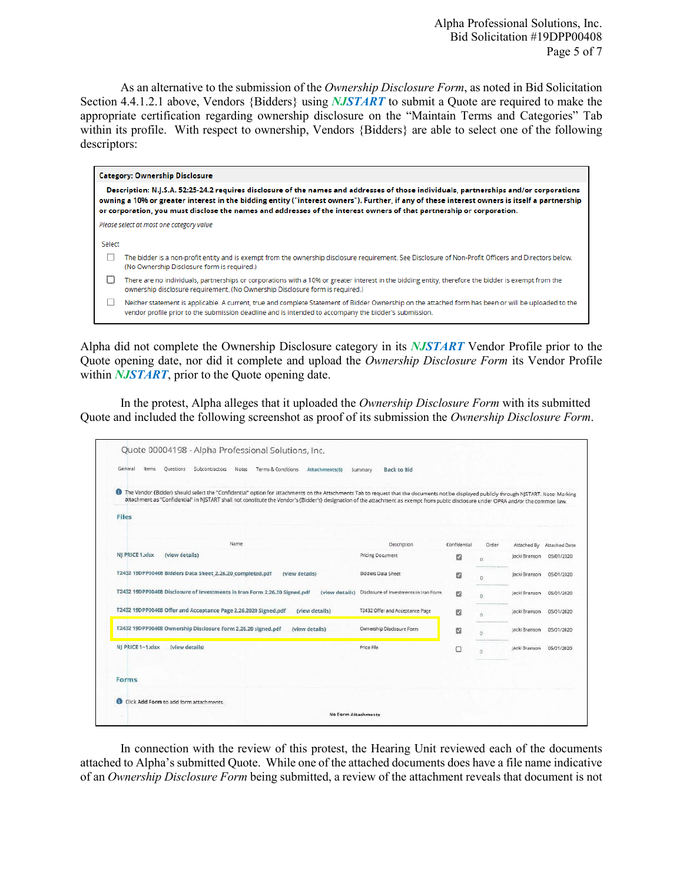Alpha Professional Solutions, Inc. Bid Solicitation #19DPP00408 Page 5 of 7

As an alternative to the submission of the *Ownership Disclosure Form*, as noted in Bid Solicitation Section 4.4.1.2.1 above, Vendors {Bidders} using *NJSTART* to submit a Quote are required to make the appropriate certification regarding ownership disclosure on the "Maintain Terms and Categories" Tab within its profile. With respect to ownership, Vendors {Bidders} are able to select one of the following descriptors:

|        | <b>Category: Ownership Disclosure</b>                                                                                                                                                                                                                                                                                                                                                                          |
|--------|----------------------------------------------------------------------------------------------------------------------------------------------------------------------------------------------------------------------------------------------------------------------------------------------------------------------------------------------------------------------------------------------------------------|
|        | Description: N.J.S.A. 52:25-24.2 requires disclosure of the names and addresses of those individuals, partnerships and/or corporations<br>owning a 10% or greater interest in the bidding entity ("interest owners"). Further, if any of these interest owners is itself a partnership<br>or corporation, you must disclose the names and addresses of the interest owners of that partnership or corporation. |
|        | Please select at most one category value                                                                                                                                                                                                                                                                                                                                                                       |
| Select |                                                                                                                                                                                                                                                                                                                                                                                                                |
|        | The bidder is a non-profit entity and is exempt from the ownership disclosure requirement. See Disclosure of Non-Profit Officers and Directors below.<br>(No Ownership Disclosure form is required.)                                                                                                                                                                                                           |
|        | There are no individuals, partnerships or corporations with a 10% or greater interest in the bidding entity, therefore the bidder is exempt from the<br>ownership disclosure requirement. (No Ownership Disclosure form is required.)                                                                                                                                                                          |
|        | Neither statement is applicable. A current, true and complete Statement of Bidder Ownership on the attached form has been or will be uploaded to the<br>vendor profile prior to the submission deadline and is intended to accompany the bidder's submission.                                                                                                                                                  |

Alpha did not complete the Ownership Disclosure category in its *NJSTART* Vendor Profile prior to the Quote opening date, nor did it complete and upload the *Ownership Disclosure Form* its Vendor Profile within *NJSTART*, prior to the Quote opening date.

In the protest, Alpha alleges that it uploaded the *Ownership Disclosure Form* with its submitted Quote and included the following screenshot as proof of its submission the *Ownership Disclosure Form*.

| General<br>items<br>Questions<br>Subcontractors<br>Notes<br>Terms & Conditions<br>Attachments(6)                                                                                                                                                                                                                                                                                   | Back to Bid<br>Summary                                |              |          |               |               |
|------------------------------------------------------------------------------------------------------------------------------------------------------------------------------------------------------------------------------------------------------------------------------------------------------------------------------------------------------------------------------------|-------------------------------------------------------|--------------|----------|---------------|---------------|
| The Vendor (Bidder) should select the "Confidential" option for attachments on the Attachments Tab to request that the documents not be displayed publicly through NJSTART. Note: Marking<br>attachment as "Confidential" in NISTART shall not constitute the Vendor's (Bidder's) designation of the attachment as exempt from public disclosure under OPRA and/or the common law. |                                                       |              |          |               |               |
| <b>Files</b>                                                                                                                                                                                                                                                                                                                                                                       |                                                       |              |          |               |               |
|                                                                                                                                                                                                                                                                                                                                                                                    |                                                       |              |          |               |               |
| Name                                                                                                                                                                                                                                                                                                                                                                               | Description                                           | Confidential | Order    | Attached By   | Attached Date |
| NJ PRICE 1.xlsx<br>(view details)                                                                                                                                                                                                                                                                                                                                                  | Pricing Document                                      | a            | n.       | lacki Branson | 05/01/2020    |
| T2432 19DPP00408 Bidders Data Sheet 2.26.20 completed.pdf<br>(view details)                                                                                                                                                                                                                                                                                                        | Bidders Data Sheet                                    | e            | Đ.       | Jacki Branson | 05/01/2020    |
| T2432 19DPP00408 Disclosure of Investments in Iran Form 2.26.20 Signed.odf                                                                                                                                                                                                                                                                                                         | (view details) Disclosure of Investments in Iran Form | 四            | $\alpha$ | lacki Branson | 05/01/2020    |
| T2432 19DPP00408 Offer and Acceptance Page 2.26.2020 Signed.pdf<br>(view details)                                                                                                                                                                                                                                                                                                  | T2432 Offer and Acceptance Page                       | a            | $\circ$  | Jacki Branson | 05/01/2020    |
| T2432 19DPP00408 Ownership Disclosure Form 2.26.20 signed.pdf<br>(view details).                                                                                                                                                                                                                                                                                                   | Ownership Disclosure Form                             | 52           | $\alpha$ | Jacki Branson | 05/01/2020    |
| NJ PRICE 1-1.xlsx<br>(view details)                                                                                                                                                                                                                                                                                                                                                | Price File                                            | o            | $\Box$   | Jacki Branson | 05/01/2020    |
|                                                                                                                                                                                                                                                                                                                                                                                    |                                                       |              |          |               |               |
| Forms                                                                                                                                                                                                                                                                                                                                                                              |                                                       |              |          |               |               |
|                                                                                                                                                                                                                                                                                                                                                                                    |                                                       |              |          |               |               |

In connection with the review of this protest, the Hearing Unit reviewed each of the documents attached to Alpha's submitted Quote. While one of the attached documents does have a file name indicative of an *Ownership Disclosure Form* being submitted, a review of the attachment reveals that document is not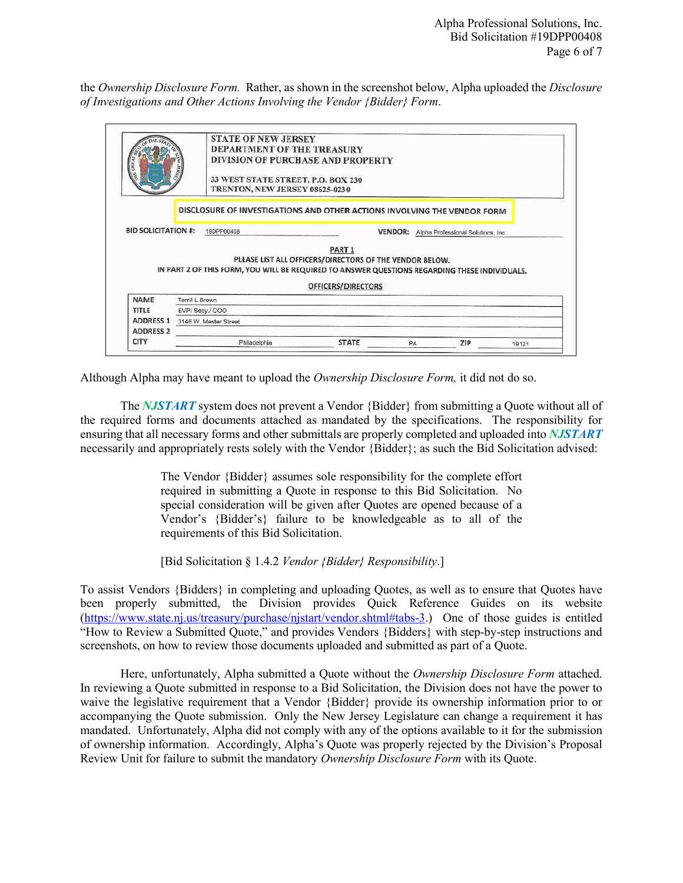the *Ownership Disclosure Form.* Rather, as shown in the screenshot below, Alpha uploaded the *Disclosure of Investigations and Other Actions Involving the Vendor {Bidder} Form*.

| GRE.<br>屋                  |                       | <b>STATE OF NEW JERSEY</b><br><b>DEPARTMENT OF THE TREASURY</b><br>33 WEST STATE STREET, P.O. BOX 230<br>TRENTON, NEW JERSEY 08625-0230 | DIVISION OF PURCHASE AND PROPERTY                                                                                                                                                                   |  |                                            |  |
|----------------------------|-----------------------|-----------------------------------------------------------------------------------------------------------------------------------------|-----------------------------------------------------------------------------------------------------------------------------------------------------------------------------------------------------|--|--------------------------------------------|--|
|                            |                       |                                                                                                                                         | DISCLOSURE OF INVESTIGATIONS AND OTHER ACTIONS INVOLVING THE VENDOR FORM                                                                                                                            |  |                                            |  |
|                            |                       |                                                                                                                                         |                                                                                                                                                                                                     |  |                                            |  |
| <b>BID SOLICITATION #:</b> |                       | 19DPP00408                                                                                                                              |                                                                                                                                                                                                     |  | VENDOR: Alpha Professional Solutions, Inc. |  |
|                            |                       |                                                                                                                                         | PART <sub>1</sub><br>PLEASE LIST ALL OFFICERS/DIRECTORS OF THE VENDOR BELOW.<br>IN PART 2 OF THIS FORM, YOU WILL BE REQUIRED TO ANSWER QUESTIONS REGARDING THESE INDIVIDUALS.<br>OFFICERS/DIRECTORS |  |                                            |  |
| <b>NAME</b>                | Terrill L Brown       |                                                                                                                                         |                                                                                                                                                                                                     |  |                                            |  |
| TITLE                      | EVP/ Secy./ COO       |                                                                                                                                         |                                                                                                                                                                                                     |  |                                            |  |
| <b>ADDRESS 1</b>           | 3146 W. Master Street |                                                                                                                                         |                                                                                                                                                                                                     |  |                                            |  |
| <b>ADDRESS 2</b>           |                       |                                                                                                                                         |                                                                                                                                                                                                     |  |                                            |  |

Although Alpha may have meant to upload the *Ownership Disclosure Form,* it did not do so.

The *NJSTART* system does not prevent a Vendor {Bidder} from submitting a Quote without all of the required forms and documents attached as mandated by the specifications. The responsibility for ensuring that all necessary forms and other submittals are properly completed and uploaded into *NJSTART* necessarily and appropriately rests solely with the Vendor {Bidder}; as such the Bid Solicitation advised:

> The Vendor {Bidder} assumes sole responsibility for the complete effort required in submitting a Quote in response to this Bid Solicitation. No special consideration will be given after Quotes are opened because of a Vendor's {Bidder's} failure to be knowledgeable as to all of the requirements of this Bid Solicitation.

[Bid Solicitation § 1.4.2 *Vendor {Bidder} Responsibility*.]

To assist Vendors {Bidders} in completing and uploading Quotes, as well as to ensure that Quotes have been properly submitted, the Division provides Quick Reference Guides on its website [\(https://www.state.nj.us/treasury/purchase/njstart/vendor.shtml#tabs-3.](https://www.state.nj.us/treasury/purchase/njstart/vendor.shtml#tabs-3)) One of those guides is entitled "How to Review a Submitted Quote," and provides Vendors {Bidders} with step-by-step instructions and screenshots, on how to review those documents uploaded and submitted as part of a Quote.

Here, unfortunately, Alpha submitted a Quote without the *Ownership Disclosure Form* attached. In reviewing a Quote submitted in response to a Bid Solicitation, the Division does not have the power to waive the legislative requirement that a Vendor {Bidder} provide its ownership information prior to or accompanying the Quote submission. Only the New Jersey Legislature can change a requirement it has mandated. Unfortunately, Alpha did not comply with any of the options available to it for the submission of ownership information. Accordingly, Alpha's Quote was properly rejected by the Division's Proposal Review Unit for failure to submit the mandatory *Ownership Disclosure Form* with its Quote.